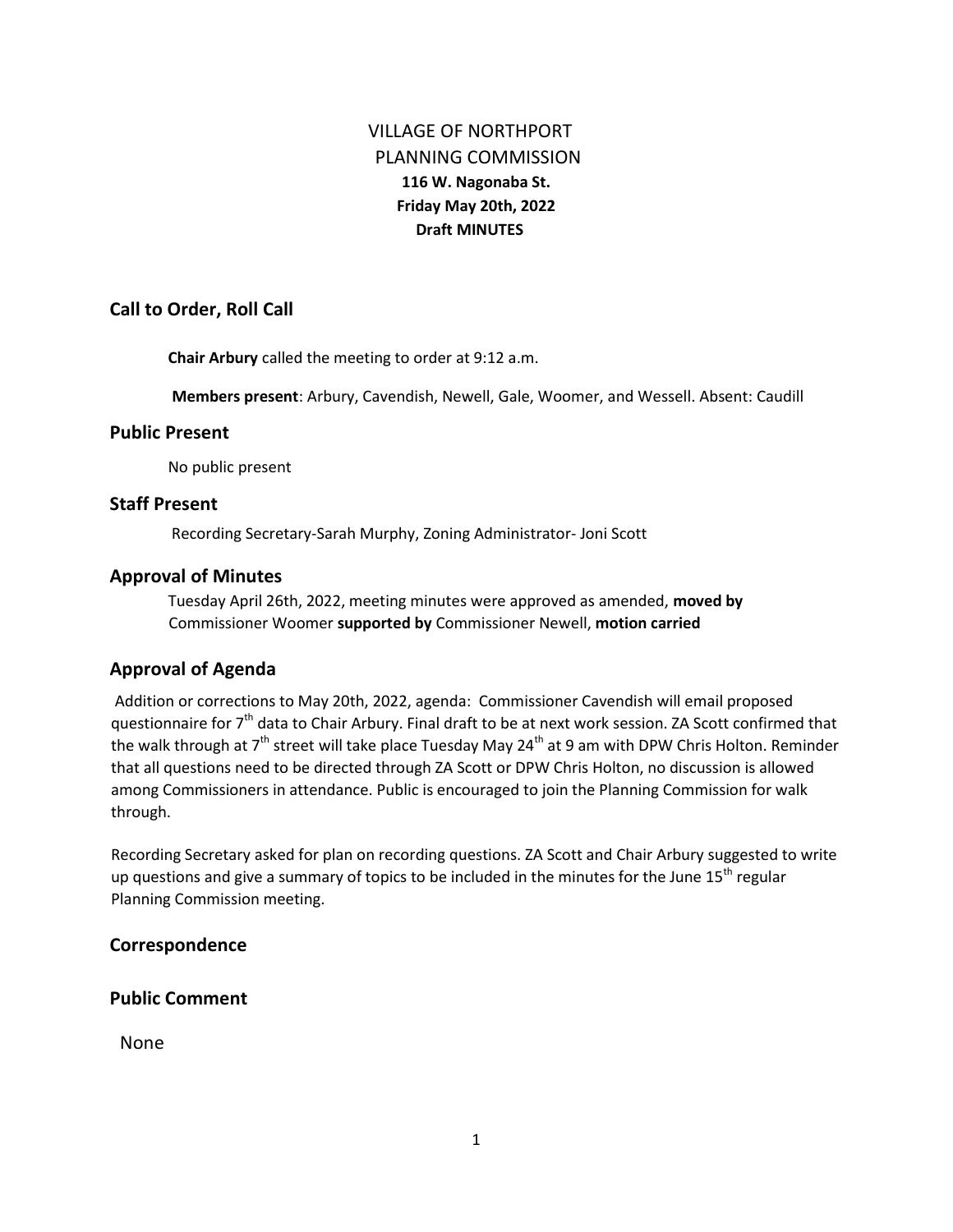# VILLAGE OF NORTHPORT PLANNING COMMISSION **116 W. Nagonaba St. Friday May 20th, 2022 Draft MINUTES**

#### **Call to Order, Roll Call**

**Chair Arbury** called the meeting to order at 9:12 a.m.

**Members present**: Arbury, Cavendish, Newell, Gale, Woomer, and Wessell. Absent: Caudill

#### **Public Present**

No public present

#### **Staff Present**

Recording Secretary-Sarah Murphy, Zoning Administrator- Joni Scott

#### **Approval of Minutes**

Tuesday April 26th, 2022, meeting minutes were approved as amended, **moved by** Commissioner Woomer **supported by** Commissioner Newell, **motion carried** 

#### **Approval of Agenda**

Addition or corrections to May 20th, 2022, agenda: Commissioner Cavendish will email proposed questionnaire for 7<sup>th</sup> data to Chair Arbury. Final draft to be at next work session. ZA Scott confirmed that the walk through at  $7<sup>th</sup>$  street will take place Tuesday May 24<sup>th</sup> at 9 am with DPW Chris Holton. Reminder that all questions need to be directed through ZA Scott or DPW Chris Holton, no discussion is allowed among Commissioners in attendance. Public is encouraged to join the Planning Commission for walk through.

Recording Secretary asked for plan on recording questions. ZA Scott and Chair Arbury suggested to write up questions and give a summary of topics to be included in the minutes for the June 15<sup>th</sup> regular Planning Commission meeting.

#### **Correspondence**

### **Public Comment**

None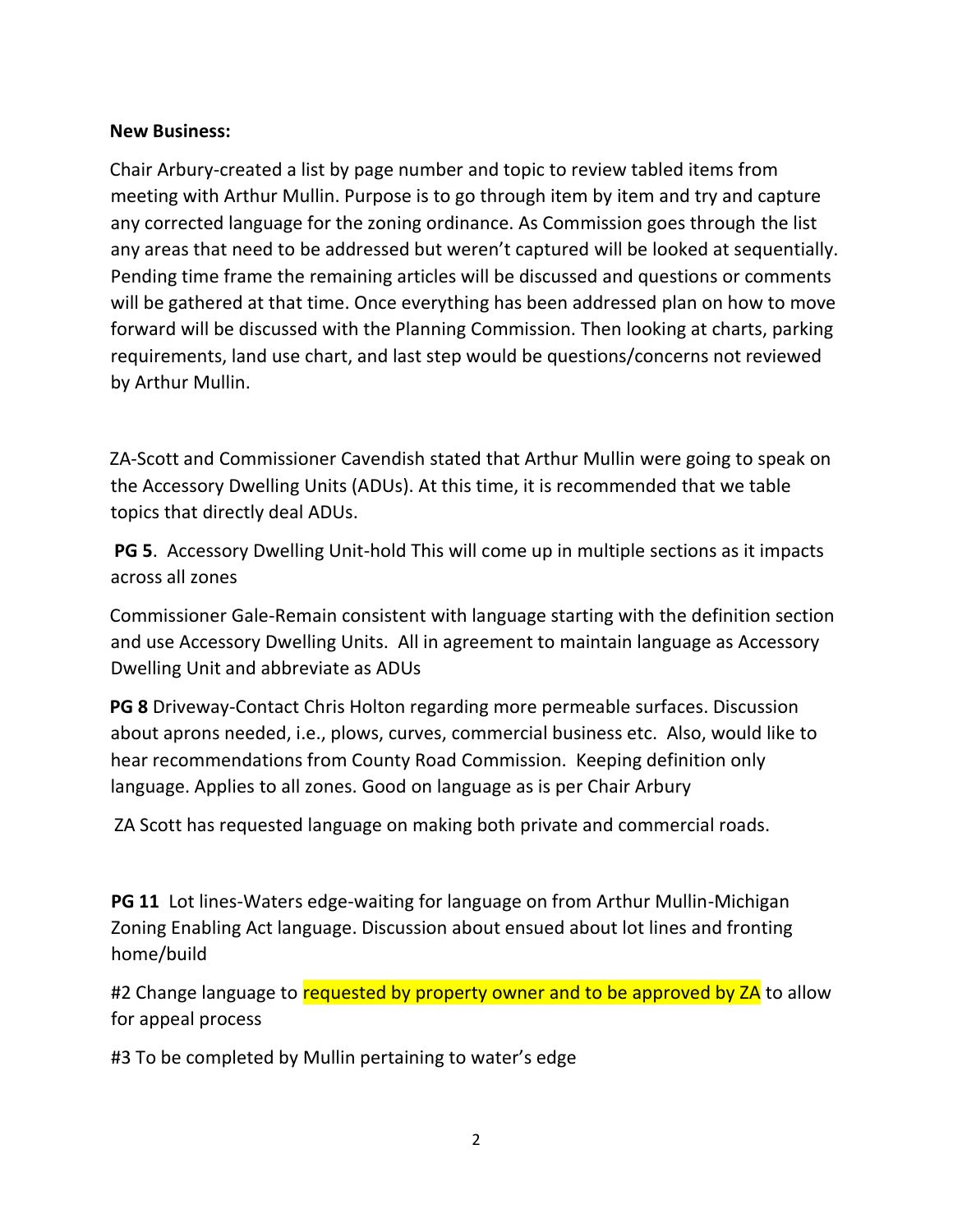## **New Business:**

Chair Arbury-created a list by page number and topic to review tabled items from meeting with Arthur Mullin. Purpose is to go through item by item and try and capture any corrected language for the zoning ordinance. As Commission goes through the list any areas that need to be addressed but weren't captured will be looked at sequentially. Pending time frame the remaining articles will be discussed and questions or comments will be gathered at that time. Once everything has been addressed plan on how to move forward will be discussed with the Planning Commission. Then looking at charts, parking requirements, land use chart, and last step would be questions/concerns not reviewed by Arthur Mullin.

ZA-Scott and Commissioner Cavendish stated that Arthur Mullin were going to speak on the Accessory Dwelling Units (ADUs). At this time, it is recommended that we table topics that directly deal ADUs.

**PG 5**. Accessory Dwelling Unit-hold This will come up in multiple sections as it impacts across all zones

Commissioner Gale-Remain consistent with language starting with the definition section and use Accessory Dwelling Units. All in agreement to maintain language as Accessory Dwelling Unit and abbreviate as ADUs

**PG 8** Driveway-Contact Chris Holton regarding more permeable surfaces. Discussion about aprons needed, i.e., plows, curves, commercial business etc. Also, would like to hear recommendations from County Road Commission. Keeping definition only language. Applies to all zones. Good on language as is per Chair Arbury

ZA Scott has requested language on making both private and commercial roads.

**PG 11** Lot lines-Waters edge-waiting for language on from Arthur Mullin-Michigan Zoning Enabling Act language. Discussion about ensued about lot lines and fronting home/build

#2 Change language to requested by property owner and to be approved by ZA to allow for appeal process

#3 To be completed by Mullin pertaining to water's edge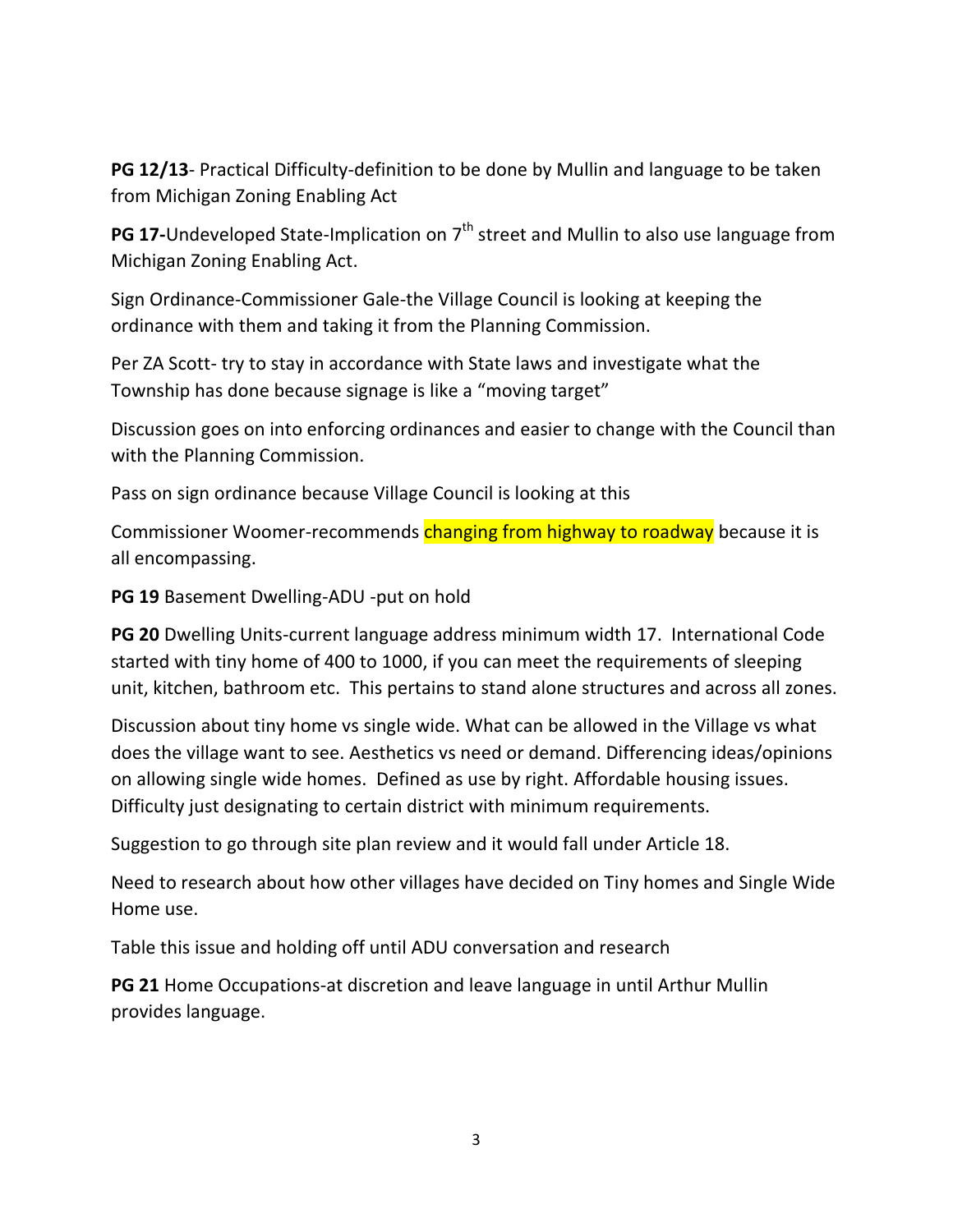**PG 12/13**- Practical Difficulty-definition to be done by Mullin and language to be taken from Michigan Zoning Enabling Act

**PG 17-**Undeveloped State-Implication on 7<sup>th</sup> street and Mullin to also use language from Michigan Zoning Enabling Act.

Sign Ordinance-Commissioner Gale-the Village Council is looking at keeping the ordinance with them and taking it from the Planning Commission.

Per ZA Scott- try to stay in accordance with State laws and investigate what the Township has done because signage is like a "moving target"

Discussion goes on into enforcing ordinances and easier to change with the Council than with the Planning Commission.

Pass on sign ordinance because Village Council is looking at this

Commissioner Woomer-recommends changing from highway to roadway because it is all encompassing.

**PG 19** Basement Dwelling-ADU -put on hold

**PG 20** Dwelling Units-current language address minimum width 17. International Code started with tiny home of 400 to 1000, if you can meet the requirements of sleeping unit, kitchen, bathroom etc. This pertains to stand alone structures and across all zones.

Discussion about tiny home vs single wide. What can be allowed in the Village vs what does the village want to see. Aesthetics vs need or demand. Differencing ideas/opinions on allowing single wide homes. Defined as use by right. Affordable housing issues. Difficulty just designating to certain district with minimum requirements.

Suggestion to go through site plan review and it would fall under Article 18.

Need to research about how other villages have decided on Tiny homes and Single Wide Home use.

Table this issue and holding off until ADU conversation and research

**PG 21** Home Occupations-at discretion and leave language in until Arthur Mullin provides language.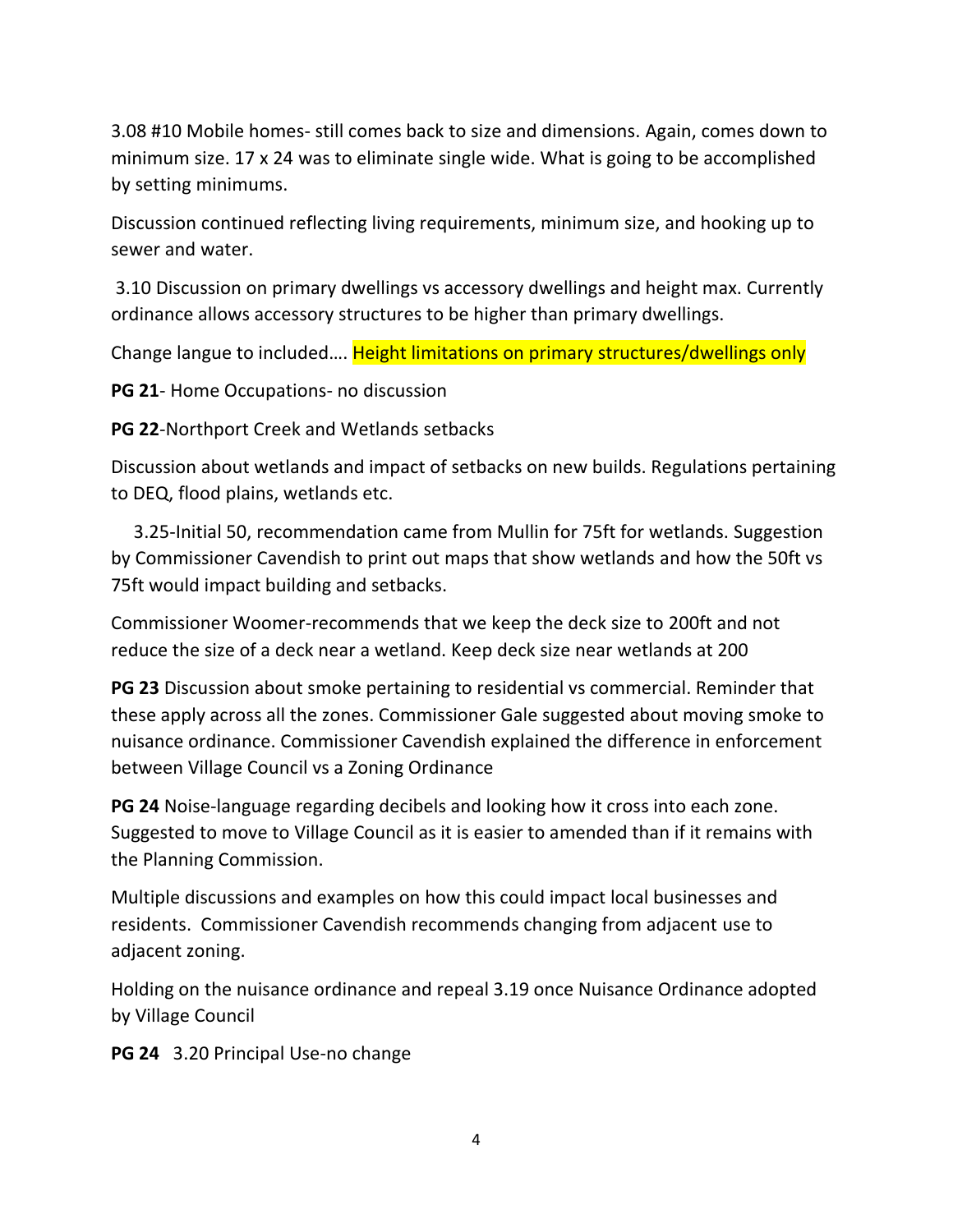3.08 #10 Mobile homes- still comes back to size and dimensions. Again, comes down to minimum size. 17 x 24 was to eliminate single wide. What is going to be accomplished by setting minimums.

Discussion continued reflecting living requirements, minimum size, and hooking up to sewer and water.

3.10 Discussion on primary dwellings vs accessory dwellings and height max. Currently ordinance allows accessory structures to be higher than primary dwellings.

Change langue to included…. Height limitations on primary structures/dwellings only

**PG 21**- Home Occupations- no discussion

**PG 22**-Northport Creek and Wetlands setbacks

Discussion about wetlands and impact of setbacks on new builds. Regulations pertaining to DEQ, flood plains, wetlands etc.

 3.25-Initial 50, recommendation came from Mullin for 75ft for wetlands. Suggestion by Commissioner Cavendish to print out maps that show wetlands and how the 50ft vs 75ft would impact building and setbacks.

Commissioner Woomer-recommends that we keep the deck size to 200ft and not reduce the size of a deck near a wetland. Keep deck size near wetlands at 200

**PG 23** Discussion about smoke pertaining to residential vs commercial. Reminder that these apply across all the zones. Commissioner Gale suggested about moving smoke to nuisance ordinance. Commissioner Cavendish explained the difference in enforcement between Village Council vs a Zoning Ordinance

**PG 24** Noise-language regarding decibels and looking how it cross into each zone. Suggested to move to Village Council as it is easier to amended than if it remains with the Planning Commission.

Multiple discussions and examples on how this could impact local businesses and residents. Commissioner Cavendish recommends changing from adjacent use to adjacent zoning.

Holding on the nuisance ordinance and repeal 3.19 once Nuisance Ordinance adopted by Village Council

**PG 24** 3.20 Principal Use-no change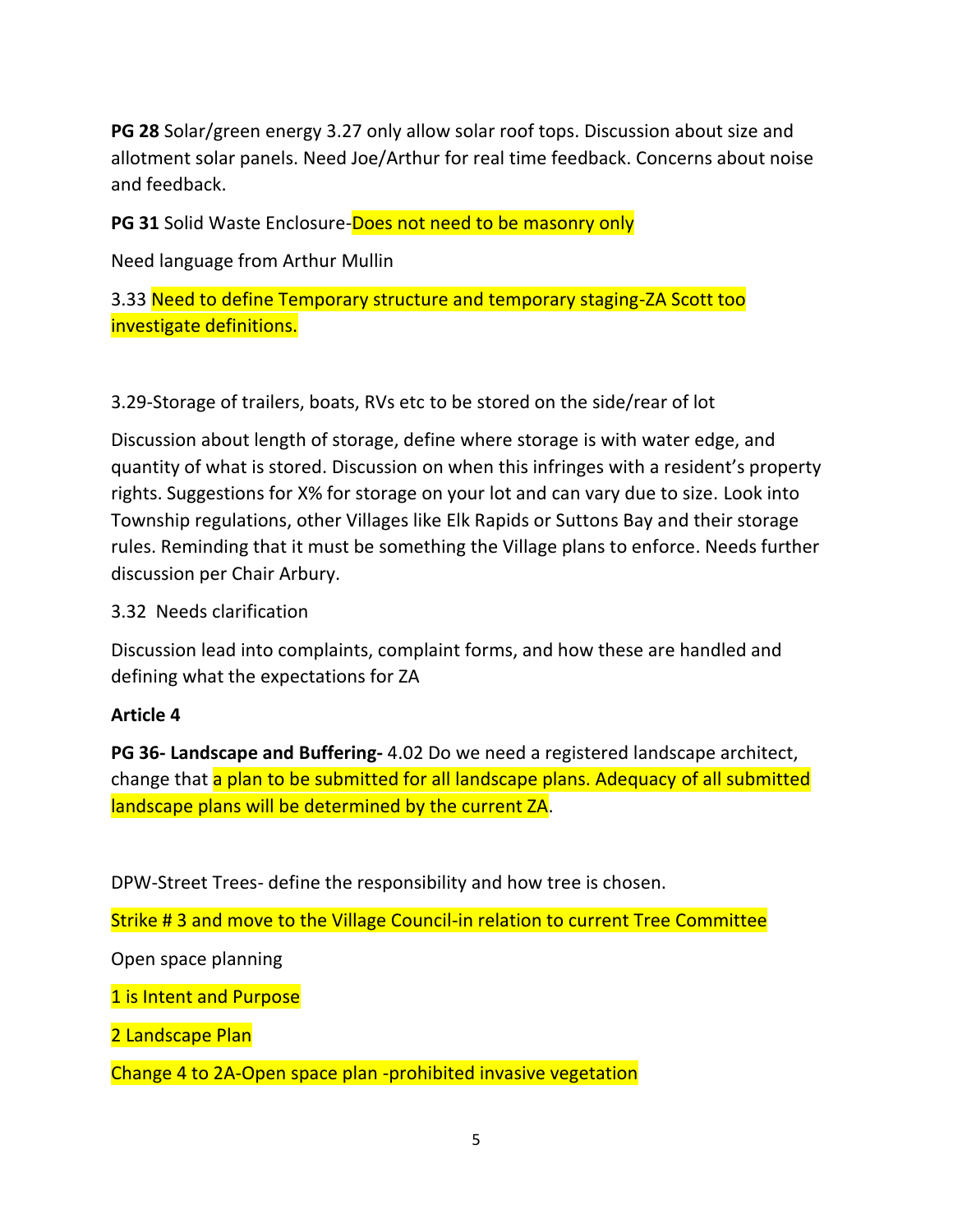**PG 28** Solar/green energy 3.27 only allow solar roof tops. Discussion about size and allotment solar panels. Need Joe/Arthur for real time feedback. Concerns about noise and feedback.

**PG 31** Solid Waste Enclosure-**Does not need to be masonry only** 

Need language from Arthur Mullin

3.33 Need to define Temporary structure and temporary staging-ZA Scott too investigate definitions.

3.29-Storage of trailers, boats, RVs etc to be stored on the side/rear of lot

Discussion about length of storage, define where storage is with water edge, and quantity of what is stored. Discussion on when this infringes with a resident's property rights. Suggestions for X% for storage on your lot and can vary due to size. Look into Township regulations, other Villages like Elk Rapids or Suttons Bay and their storage rules. Reminding that it must be something the Village plans to enforce. Needs further discussion per Chair Arbury.

### 3.32 Needs clarification

Discussion lead into complaints, complaint forms, and how these are handled and defining what the expectations for ZA

## **Article 4**

**PG 36- Landscape and Buffering-** 4.02 Do we need a registered landscape architect, change that a plan to be submitted for all landscape plans. Adequacy of all submitted landscape plans will be determined by the current ZA.

DPW-Street Trees- define the responsibility and how tree is chosen.

Strike # 3 and move to the Village Council-in relation to current Tree Committee

Open space planning

1 is Intent and Purpose

2 Landscape Plan

Change 4 to 2A-Open space plan -prohibited invasive vegetation